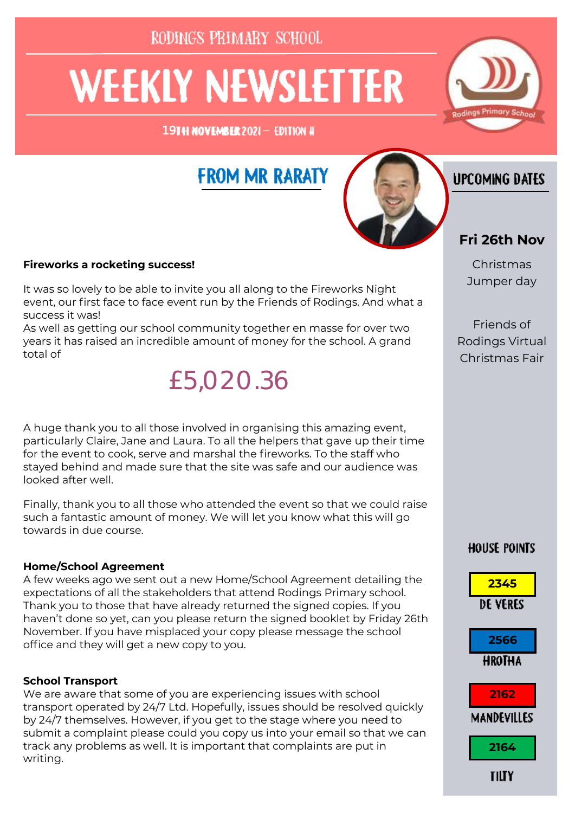RODINGS PRIMARY SCHOOL

# **WEEKLY NEWSLETTER**

19TH NOVEMBER 2021- EDITION #

# **FROM MR RARATY**



### **IJPCOMING DATES**

#### **Fireworks a rocketing success!**

It was so lovely to be able to invite you all along to the Fireworks Night event, our first face to face event run by the Friends of Rodings. And what a success it was!

As well as getting our school community together en masse for over two years it has raised an incredible amount of money for the school. A grand total of



A huge thank you to all those involved in organising this amazing event, particularly Claire, Jane and Laura. To all the helpers that gave up their time for the event to cook, serve and marshal the fireworks. To the staff who stayed behind and made sure that the site was safe and our audience was looked after well.

Finally, thank you to all those who attended the event so that we could raise such a fantastic amount of money. We will let you know what this will go towards in due course.

#### **Home/School Agreement**

A few weeks ago we sent out a new Home/School Agreement detailing the expectations of all the stakeholders that attend Rodings Primary school. Thank you to those that have already returned the signed copies. If you haven't done so yet, can you please return the signed booklet by Friday 26th November. If you have misplaced your copy please message the school office and they will get a new copy to you.

#### **School Transport**

We are aware that some of you are experiencing issues with school transport operated by 24/7 Ltd. Hopefully, issues should be resolved quickly by 24/7 themselves. However, if you get to the stage where you need to submit a complaint please could you copy us into your email so that we can track any problems as well. It is important that complaints are put in writing.

#### **Fri 26th Nov**

Christmas Jumper day

Friends of Rodings Virtual Christmas Fair

#### **HOUSE POINTS**

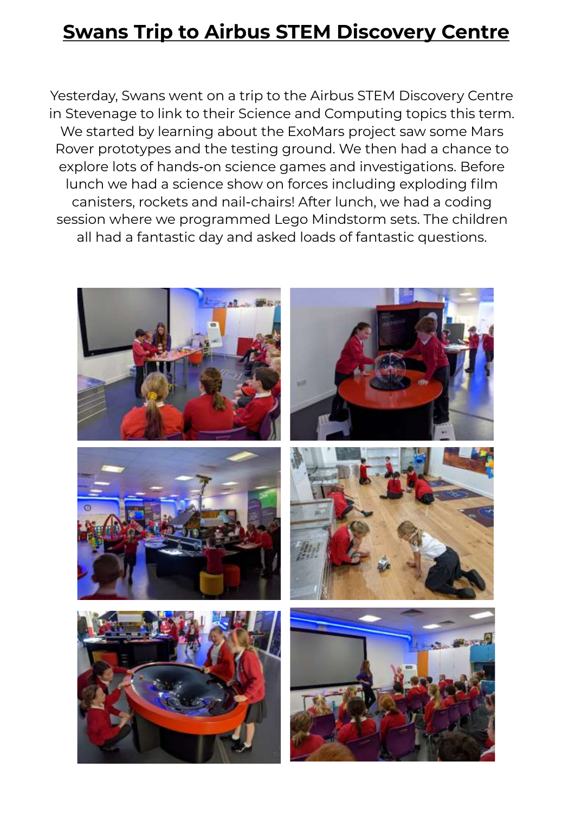# **Swans Trip to Airbus STEM Discovery Centre**

Yesterday, Swans went on a trip to the Airbus STEM Discovery Centre in Stevenage to link to their Science and Computing topics this term. We started by learning about the ExoMars project saw some Mars Rover prototypes and the testing ground. We then had a chance to explore lots of hands-on science games and investigations. Before lunch we had a science show on forces including exploding film canisters, rockets and nail-chairs! After lunch, we had a coding session where we programmed Lego Mindstorm sets. The children all had a fantastic day and asked loads of fantastic questions.

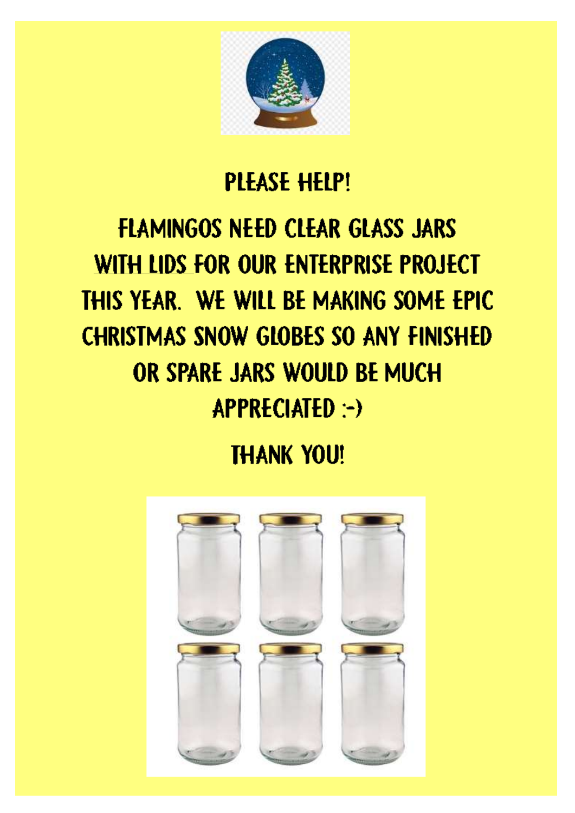

# **PLEASE HELP!**

# **FLAMINGOS NEED CLEAR GLASS JARS** WITH LIDS FOR OUR ENTERPRISE PROJECT THIS YEAR. WE WILL BE MAKING SOME EPIC **CHRISTMAS SNOW GLOBES SO ANY FINISHED** OR SPARE JARS WOULD BE MUCH APPRECIATED :-)

# **THANK YOU!**

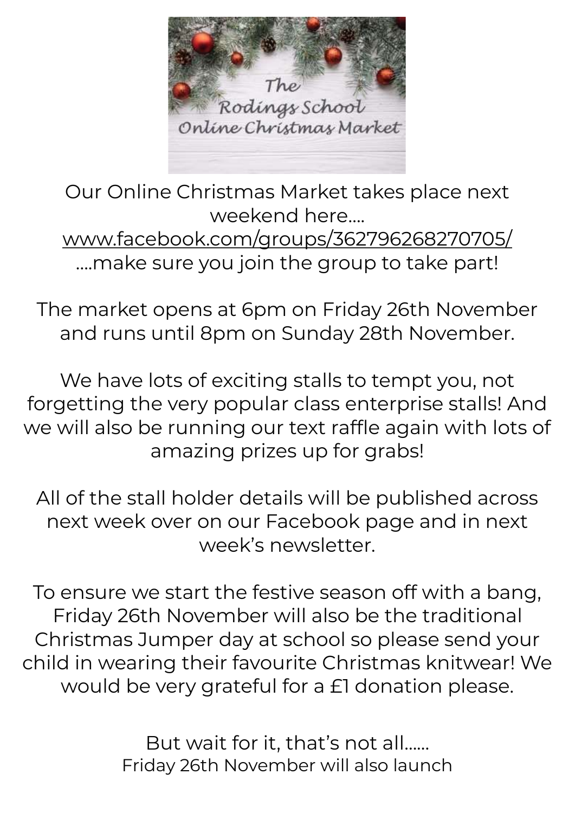

Our Online Christmas Market takes place next weekend here…. [www.facebook.com/groups/362796268270705/](http://www.facebook.com/groups/362796268270705/) ….make sure you join the group to take part!

The market opens at 6pm on Friday 26th November and runs until 8pm on Sunday 28th November.

We have lots of exciting stalls to tempt you, not forgetting the very popular class enterprise stalls! And we will also be running our text raffle again with lots of amazing prizes up for grabs!

All of the stall holder details will be published across next week over on our Facebook page and in next week's newsletter.

To ensure we start the festive season off with a bang, Friday 26th November will also be the traditional Christmas Jumper day at school so please send your child in wearing their favourite Christmas knitwear! We would be very grateful for a £1 donation please.

> But wait for it, that's not all…… Friday 26th November will also launch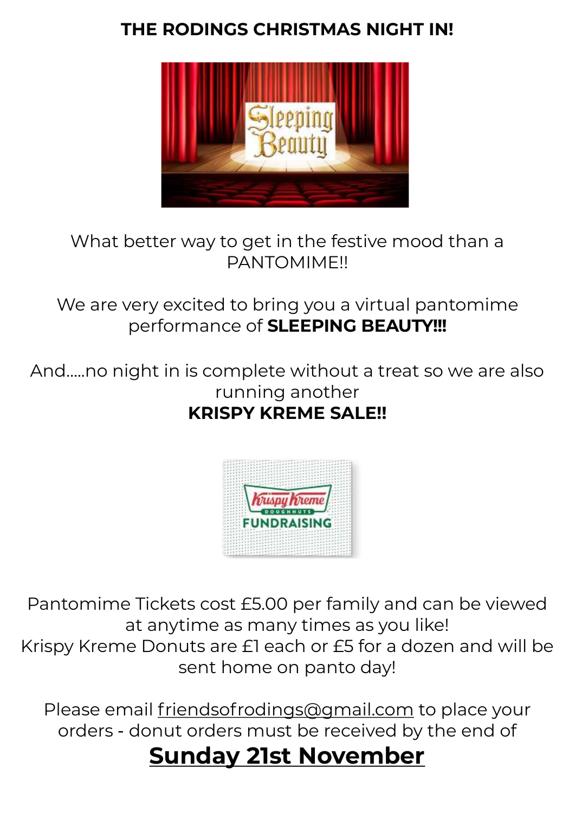## **THE RODINGS CHRISTMAS NIGHT IN!**



### What better way to get in the festive mood than a PANTOMIME!!

We are very excited to bring you a virtual pantomime performance of **SLEEPING BEAUTY!!!**

And…..no night in is complete without a treat so we are also running another **KRISPY KREME SALE!!**



Pantomime Tickets cost £5.00 per family and can be viewed at anytime as many times as you like! Krispy Kreme Donuts are £1 each or £5 for a dozen and will be sent home on panto day!

Please email [friendsofrodings@gmail.com](mailto:friendsofrodings@gmail.com) to place your orders - donut orders must be received by the end of

# **Sunday 21st November**